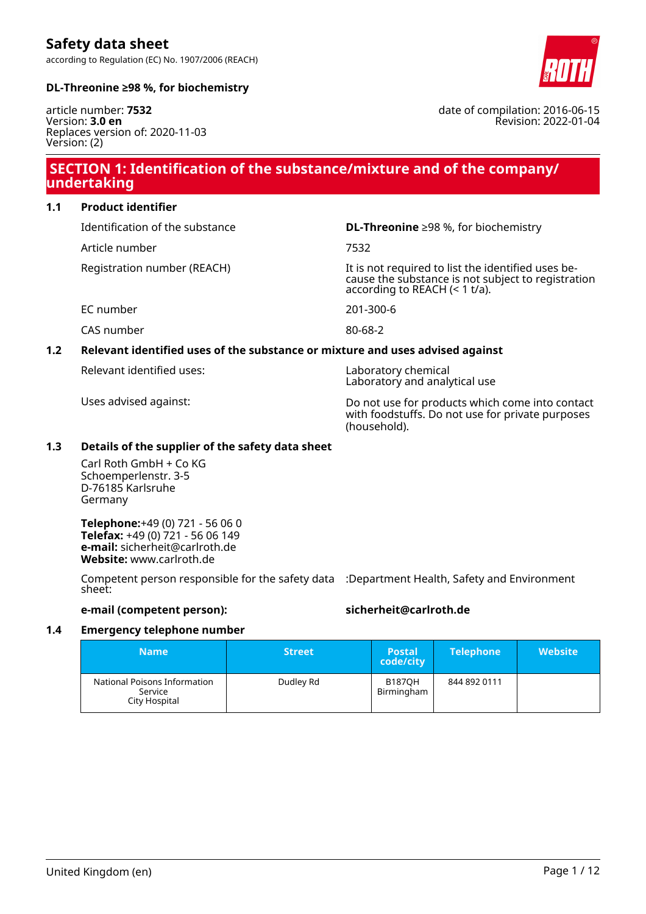according to Regulation (EC) No. 1907/2006 (REACH) **DL-Threonine ≥98 %, for biochemistry**

Version: (2)

# **SECTION 1: Identification of the substance/mixture and of the company/ undertaking**

**1.1 Product identifier**

**Safety data sheet**

Article number 7532

Identification of the substance **DL-Threonine** ≥98 %, for biochemistry

Registration number (REACH) It is not required to list the identified uses because the substance is not subject to registration according to REACH (< 1 t/a).

EC number 201-300-6

CAS number 80-68-2

# **1.2 Relevant identified uses of the substance or mixture and uses advised against**

Relevant identified uses: Laboratory chemical

Uses advised against: Do not use for products which come into contact with foodstuffs. Do not use for private purposes (household).

### **1.3 Details of the supplier of the safety data sheet**

Carl Roth GmbH + Co KG Schoemperlenstr. 3-5 D-76185 Karlsruhe Germany

**Telephone:**+49 (0) 721 - 56 06 0 **Telefax:** +49 (0) 721 - 56 06 149 **e-mail:** sicherheit@carlroth.de **Website:** www.carlroth.de

Competent person responsible for the safety data :Department Health, Safety and Environment sheet:

### **e-mail (competent person): sicherheit@carlroth.de**

## **1.4 Emergency telephone number**

| <b>Name</b>                                              | <b>Street</b> | <b>Postal</b><br>code/city  | <b>Telephone</b> | <b>Website</b> |
|----------------------------------------------------------|---------------|-----------------------------|------------------|----------------|
| National Poisons Information<br>Service<br>City Hospital | Dudley Rd     | <b>B187OH</b><br>Birmingham | 844 892 0111     |                |

Revision: 2022-01-04

date of compilation: 2016-06-15

article number: **7532** Version: **3.0 en** Replaces version of: 2020-11-03

Laboratory and analytical use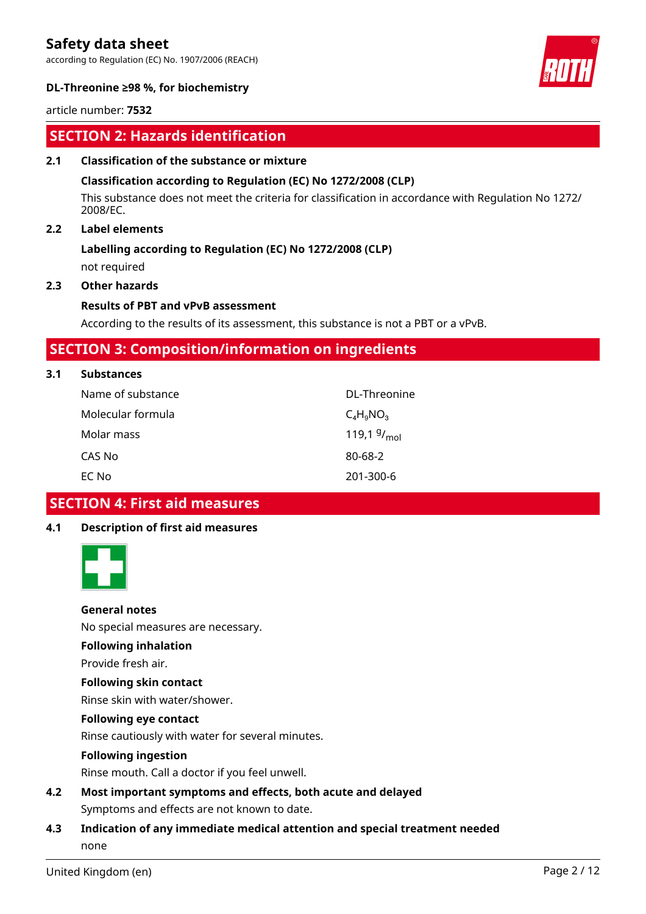according to Regulation (EC) No. 1907/2006 (REACH)



### **DL-Threonine ≥98 %, for biochemistry**

article number: **7532**

### **SECTION 2: Hazards identification**

### **2.1 Classification of the substance or mixture**

### **Classification according to Regulation (EC) No 1272/2008 (CLP)**

This substance does not meet the criteria for classification in accordance with Regulation No 1272/ 2008/EC.

### **2.2 Label elements**

### **Labelling according to Regulation (EC) No 1272/2008 (CLP)**

not required

### **2.3 Other hazards**

### **Results of PBT and vPvB assessment**

According to the results of its assessment, this substance is not a PBT or a vPvB.

### **SECTION 3: Composition/information on ingredients**

### **3.1 Substances**

| Name of substance | DL-Threonine            |
|-------------------|-------------------------|
| Molecular formula | $C_4H_9NO_3$            |
| Molar mass        | 119,1 $9/_{\text{mol}}$ |
| CAS No            | 80-68-2                 |
| EC No             | 201-300-6               |

### **SECTION 4: First aid measures**

### **4.1 Description of first aid measures**



### **General notes**

No special measures are necessary.

### **Following inhalation**

Provide fresh air.

### **Following skin contact**

Rinse skin with water/shower.

### **Following eye contact**

Rinse cautiously with water for several minutes.

### **Following ingestion**

Rinse mouth. Call a doctor if you feel unwell.

**4.2 Most important symptoms and effects, both acute and delayed** Symptoms and effects are not known to date.

### **4.3 Indication of any immediate medical attention and special treatment needed** none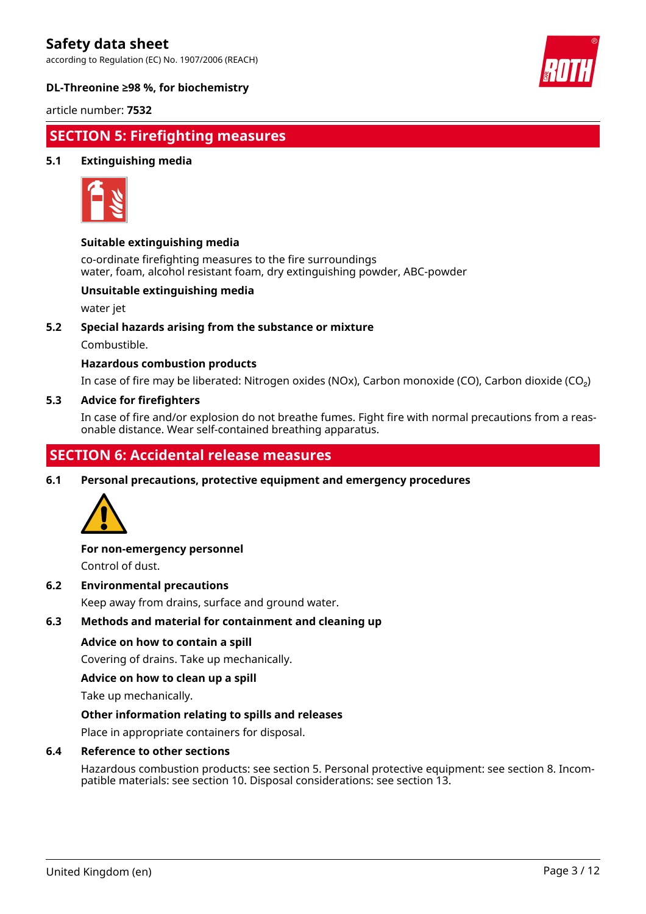according to Regulation (EC) No. 1907/2006 (REACH)



### **DL-Threonine ≥98 %, for biochemistry**

article number: **7532**

# **SECTION 5: Firefighting measures**

### **5.1 Extinguishing media**



### **Suitable extinguishing media**

co-ordinate firefighting measures to the fire surroundings water, foam, alcohol resistant foam, dry extinguishing powder, ABC-powder

### **Unsuitable extinguishing media**

water jet

### **5.2 Special hazards arising from the substance or mixture**

Combustible.

### **Hazardous combustion products**

In case of fire may be liberated: Nitrogen oxides (NOx), Carbon monoxide (CO), Carbon dioxide (CO₂)

### **5.3 Advice for firefighters**

In case of fire and/or explosion do not breathe fumes. Fight fire with normal precautions from a reasonable distance. Wear self-contained breathing apparatus.

# **SECTION 6: Accidental release measures**

**6.1 Personal precautions, protective equipment and emergency procedures**



### **For non-emergency personnel**

Control of dust.

### **6.2 Environmental precautions**

Keep away from drains, surface and ground water.

### **6.3 Methods and material for containment and cleaning up**

### **Advice on how to contain a spill**

Covering of drains. Take up mechanically.

### **Advice on how to clean up a spill**

Take up mechanically.

### **Other information relating to spills and releases**

Place in appropriate containers for disposal.

### **6.4 Reference to other sections**

Hazardous combustion products: see section 5. Personal protective equipment: see section 8. Incompatible materials: see section 10. Disposal considerations: see section 13.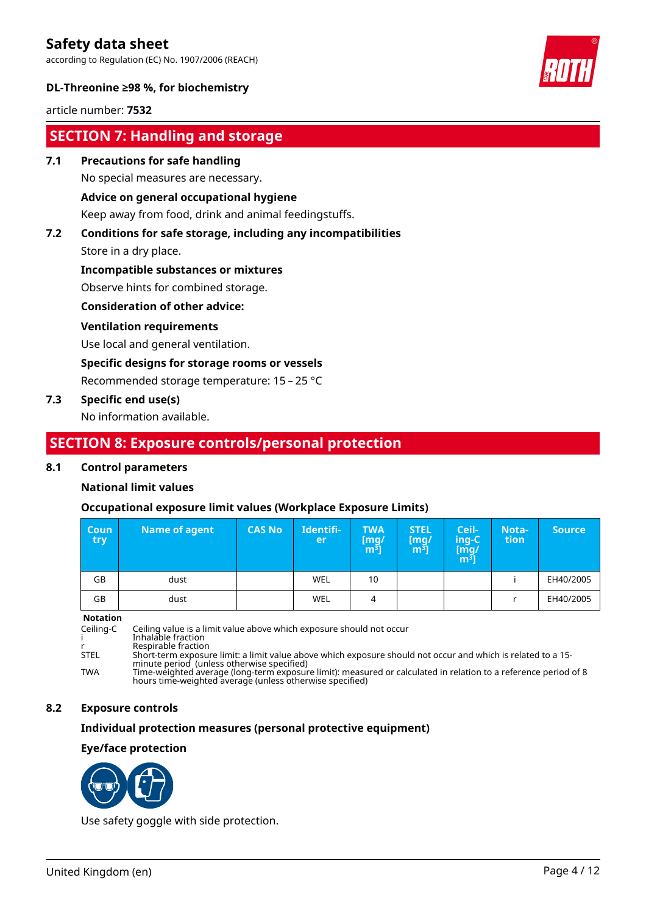according to Regulation (EC) No. 1907/2006 (REACH)



### **DL-Threonine ≥98 %, for biochemistry**

article number: **7532**

# **SECTION 7: Handling and storage**

### **7.1 Precautions for safe handling**

No special measures are necessary.

### **Advice on general occupational hygiene**

Keep away from food, drink and animal feedingstuffs.

# **7.2 Conditions for safe storage, including any incompatibilities**

Store in a dry place.

### **Incompatible substances or mixtures**

Observe hints for combined storage.

### **Consideration of other advice:**

### **Ventilation requirements**

Use local and general ventilation.

### **Specific designs for storage rooms or vessels**

Recommended storage temperature: 15 – 25 °C

### **7.3 Specific end use(s)**

No information available.

### **SECTION 8: Exposure controls/personal protection**

### **8.1 Control parameters**

### **National limit values**

### **Occupational exposure limit values (Workplace Exposure Limits)**

| <b>Coun</b><br>try | Name of agent | <b>CAS No</b> | Identifi-<br>er | <b>TWA</b><br>mg/<br>m <sup>3</sup> | <b>STEL</b><br>[mg]<br>m <sup>3</sup> | Ceil-<br>ing-C<br>[mg/<br>$\overline{m^3}$ | Nota-<br>tion | <b>Source</b> |
|--------------------|---------------|---------------|-----------------|-------------------------------------|---------------------------------------|--------------------------------------------|---------------|---------------|
| GB                 | dust          |               | <b>WEL</b>      | 10                                  |                                       |                                            |               | EH40/2005     |
| GB                 | dust          |               | <b>WEL</b>      | 4                                   |                                       |                                            |               | EH40/2005     |

#### **Notation**

Ceiling-C Ceiling value is a limit value above which exposure should not occur i Inhalable fraction r Respirable fraction STEL Short-term exposure limit: a limit value above which exposure should not occur and which is related to a 15 minute period (unless otherwise specified) TWA Time-weighted average (long-term exposure limit): measured or calculated in relation to a reference period of 8 hours time-weighted average (unless otherwise specified)

### **8.2 Exposure controls**

### **Individual protection measures (personal protective equipment)**

### **Eye/face protection**



Use safety goggle with side protection.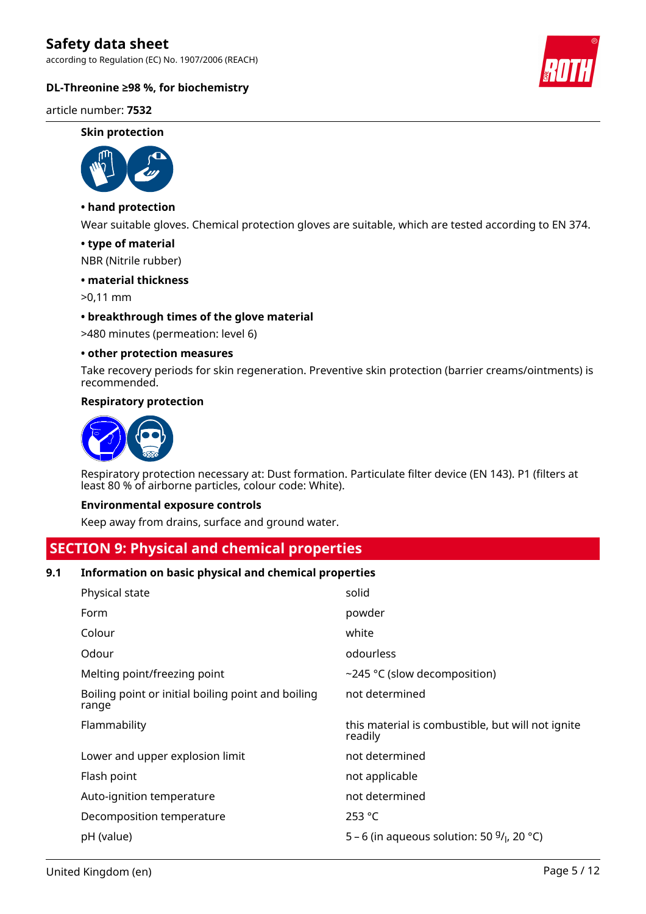according to Regulation (EC) No. 1907/2006 (REACH)

### **DL-Threonine ≥98 %, for biochemistry**

article number: **7532**

#### **Skin protection**



### **• hand protection**

Wear suitable gloves. Chemical protection gloves are suitable, which are tested according to EN 374.

### **• type of material**

NBR (Nitrile rubber)

### **• material thickness**

>0,11 mm

### **• breakthrough times of the glove material**

>480 minutes (permeation: level 6)

### **• other protection measures**

Take recovery periods for skin regeneration. Preventive skin protection (barrier creams/ointments) is recommended.

### **Respiratory protection**



Respiratory protection necessary at: Dust formation. Particulate filter device (EN 143). P1 (filters at least 80 % of airborne particles, colour code: White).

#### **Environmental exposure controls**

Keep away from drains, surface and ground water.

### **SECTION 9: Physical and chemical properties**

### **9.1 Information on basic physical and chemical properties**

| Physical state                                              | solid                                                        |
|-------------------------------------------------------------|--------------------------------------------------------------|
| Form                                                        | powder                                                       |
| Colour                                                      | white                                                        |
| Odour                                                       | odourless                                                    |
| Melting point/freezing point                                | ~245 °C (slow decomposition)                                 |
| Boiling point or initial boiling point and boiling<br>range | not determined                                               |
| Flammability                                                | this material is combustible, but will not ignite<br>readily |
| Lower and upper explosion limit                             |                                                              |
|                                                             | not determined                                               |
| Flash point                                                 | not applicable                                               |
| Auto-ignition temperature                                   | not determined                                               |
| Decomposition temperature                                   | 253 °C                                                       |

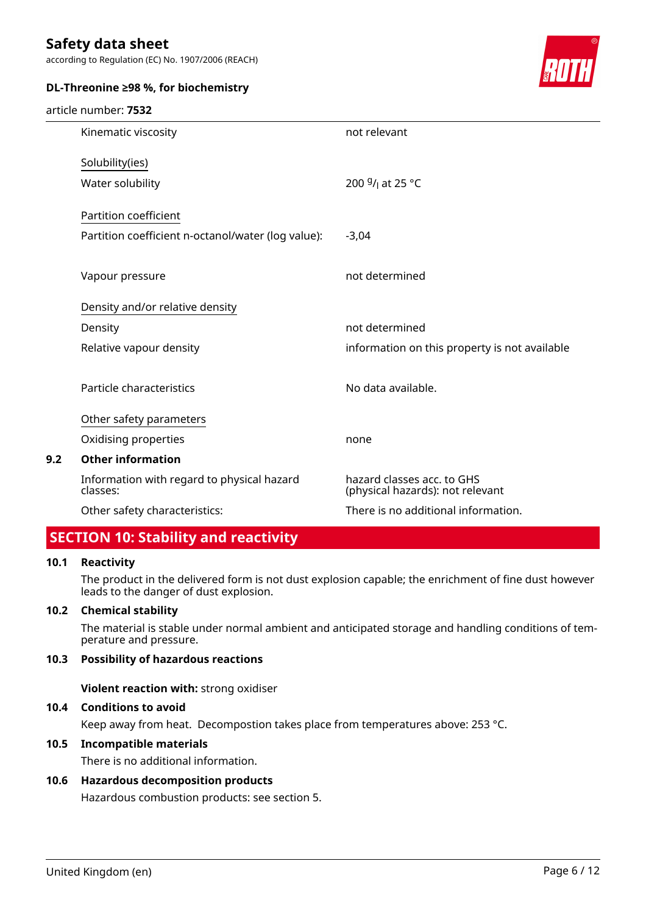according to Regulation (EC) No. 1907/2006 (REACH)



### **DL-Threonine ≥98 %, for biochemistry**

### article number: **7532**

|     | Kinematic viscosity                                    | not relevant                                                   |
|-----|--------------------------------------------------------|----------------------------------------------------------------|
|     | Solubility(ies)                                        |                                                                |
|     | Water solubility                                       | 200 $9/1$ at 25 °C                                             |
|     | Partition coefficient                                  |                                                                |
|     | Partition coefficient n-octanol/water (log value):     | $-3,04$                                                        |
|     | Vapour pressure                                        | not determined                                                 |
|     | Density and/or relative density                        |                                                                |
|     | Density                                                | not determined                                                 |
|     | Relative vapour density                                | information on this property is not available                  |
|     | Particle characteristics                               | No data available.                                             |
|     | Other safety parameters                                |                                                                |
|     | Oxidising properties                                   | none                                                           |
| 9.2 | <b>Other information</b>                               |                                                                |
|     | Information with regard to physical hazard<br>classes: | hazard classes acc. to GHS<br>(physical hazards): not relevant |
|     | Other safety characteristics:                          | There is no additional information.                            |
|     |                                                        |                                                                |

# **SECTION 10: Stability and reactivity**

### **10.1 Reactivity**

The product in the delivered form is not dust explosion capable; the enrichment of fine dust however leads to the danger of dust explosion.

### **10.2 Chemical stability**

The material is stable under normal ambient and anticipated storage and handling conditions of temperature and pressure.

### **10.3 Possibility of hazardous reactions**

**Violent reaction with:** strong oxidiser

### **10.4 Conditions to avoid**

Keep away from heat. Decompostion takes place from temperatures above: 253 °C.

### **10.5 Incompatible materials**

There is no additional information.

### **10.6 Hazardous decomposition products**

Hazardous combustion products: see section 5.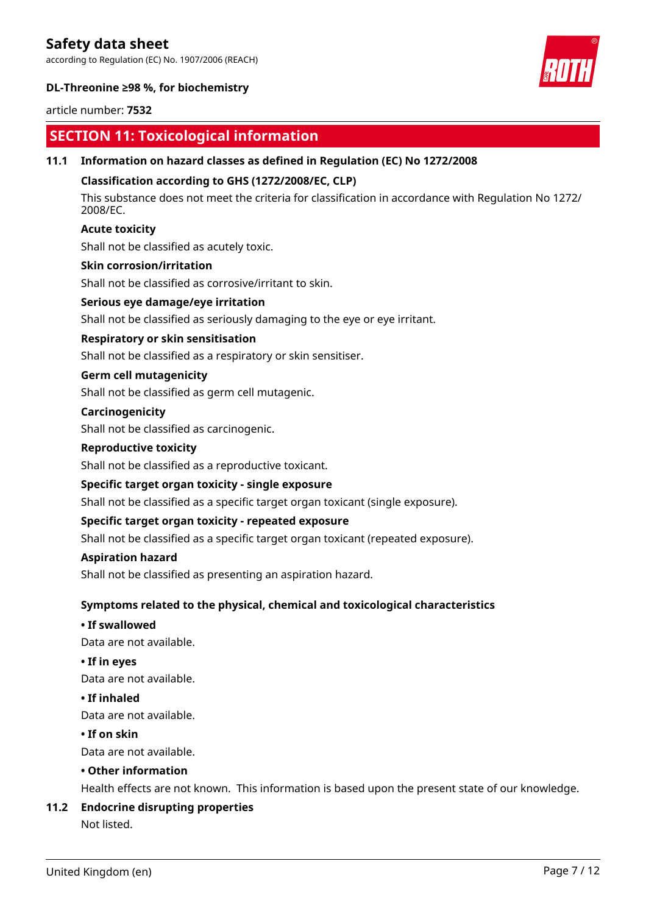according to Regulation (EC) No. 1907/2006 (REACH)



### **DL-Threonine ≥98 %, for biochemistry**

### article number: **7532**

# **SECTION 11: Toxicological information**

### **11.1 Information on hazard classes as defined in Regulation (EC) No 1272/2008**

### **Classification according to GHS (1272/2008/EC, CLP)**

This substance does not meet the criteria for classification in accordance with Regulation No 1272/ 2008/EC.

### **Acute toxicity**

Shall not be classified as acutely toxic.

### **Skin corrosion/irritation**

Shall not be classified as corrosive/irritant to skin.

### **Serious eye damage/eye irritation**

Shall not be classified as seriously damaging to the eye or eye irritant.

### **Respiratory or skin sensitisation**

Shall not be classified as a respiratory or skin sensitiser.

### **Germ cell mutagenicity**

Shall not be classified as germ cell mutagenic.

### **Carcinogenicity**

Shall not be classified as carcinogenic.

### **Reproductive toxicity**

Shall not be classified as a reproductive toxicant.

### **Specific target organ toxicity - single exposure**

Shall not be classified as a specific target organ toxicant (single exposure).

### **Specific target organ toxicity - repeated exposure**

Shall not be classified as a specific target organ toxicant (repeated exposure).

#### **Aspiration hazard**

Shall not be classified as presenting an aspiration hazard.

### **Symptoms related to the physical, chemical and toxicological characteristics**

### **• If swallowed**

Data are not available.

### **• If in eyes**

Data are not available.

### **• If inhaled**

Data are not available.

### **• If on skin**

Data are not available.

### **• Other information**

Health effects are not known. This information is based upon the present state of our knowledge.

### **11.2 Endocrine disrupting properties**

Not listed.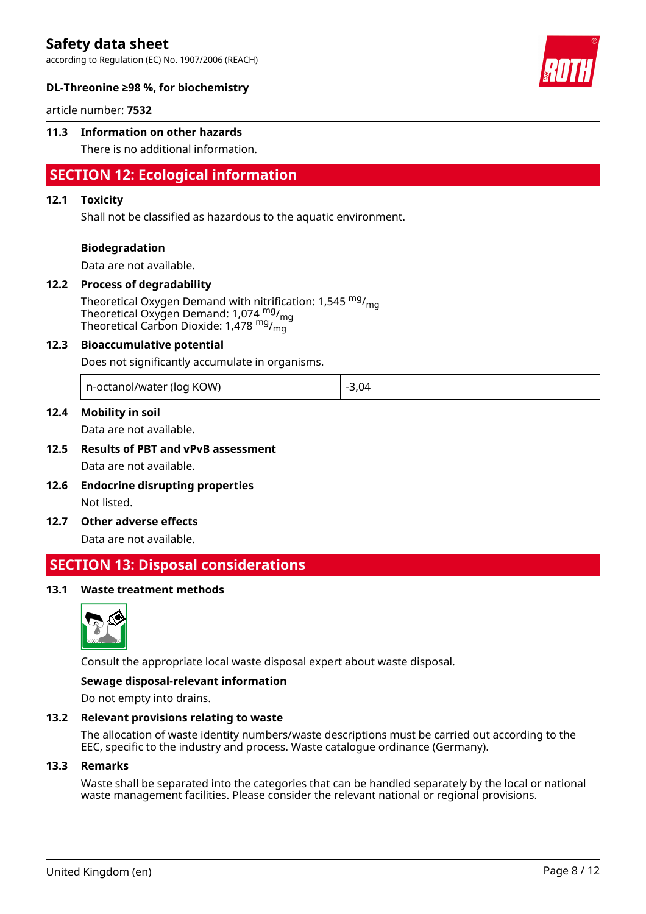according to Regulation (EC) No. 1907/2006 (REACH)



### **DL-Threonine ≥98 %, for biochemistry**

article number: **7532**

### **11.3 Information on other hazards**

There is no additional information.

### **SECTION 12: Ecological information**

### **12.1 Toxicity**

Shall not be classified as hazardous to the aquatic environment.

### **Biodegradation**

Data are not available.

### **12.2 Process of degradability**

Theoretical Oxygen Demand with nitrification: 1,545 <sup>mg</sup>/<sub>mg</sub> Theoretical Oxygen Demand: 1,074 <sup>mg</sup>/<sub>mg</sub> Theoretical Carbon Dioxide: 1,478  $mg/m<sub>g</sub>$ 

### **12.3 Bioaccumulative potential**

Does not significantly accumulate in organisms.

| n-octanol/water (log KOW) | 3,04 |
|---------------------------|------|
|---------------------------|------|

### **12.4 Mobility in soil**

Data are not available.

# **12.5 Results of PBT and vPvB assessment**

Data are not available.

- **12.6 Endocrine disrupting properties** Not listed.
- **12.7 Other adverse effects**

Data are not available.

## **SECTION 13: Disposal considerations**

### **13.1 Waste treatment methods**



Consult the appropriate local waste disposal expert about waste disposal.

#### **Sewage disposal-relevant information**

Do not empty into drains.

### **13.2 Relevant provisions relating to waste**

The allocation of waste identity numbers/waste descriptions must be carried out according to the EEC, specific to the industry and process. Waste catalogue ordinance (Germany).

### **13.3 Remarks**

Waste shall be separated into the categories that can be handled separately by the local or national waste management facilities. Please consider the relevant national or regional provisions.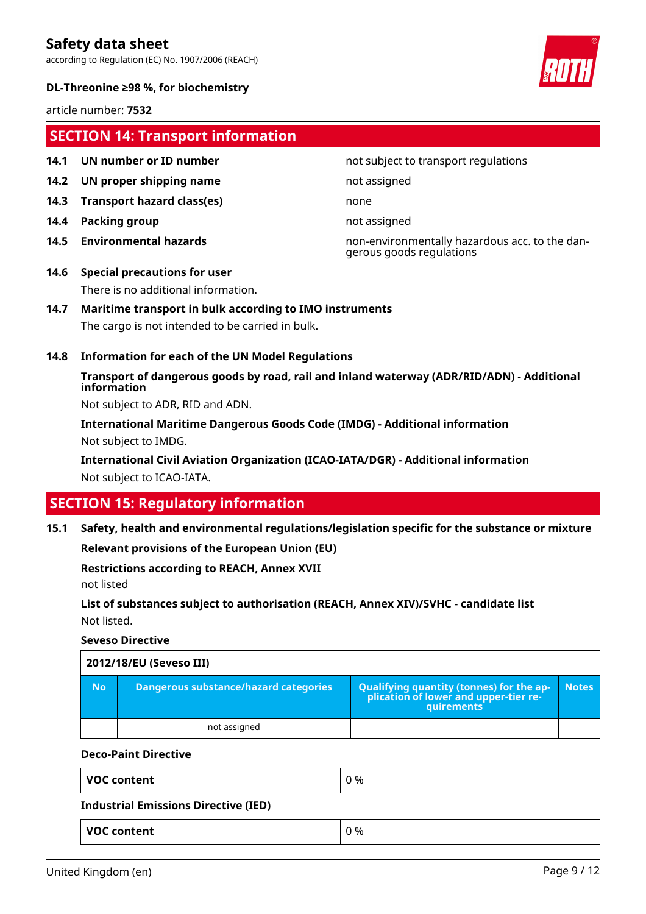according to Regulation (EC) No. 1907/2006 (REACH)



article number: **7532**

## **SECTION 14: Transport information**

- 
- **14.2 UN proper shipping name** not assigned
- **14.3 Transport hazard class(es)** none
- **14.4 Packing group not assigned**
- 

### **14.1 UN number or ID number not subject to transport regulations**

**14.5 Environmental hazards** non-environmentally hazardous acc. to the dangerous goods regulations

### **14.6 Special precautions for user** There is no additional information.

### **14.7 Maritime transport in bulk according to IMO instruments**

The cargo is not intended to be carried in bulk.

### **14.8 Information for each of the UN Model Regulations**

**Transport of dangerous goods by road, rail and inland waterway (ADR/RID/ADN) - Additional information**

Not subject to ADR, RID and ADN.

**International Maritime Dangerous Goods Code (IMDG) - Additional information** Not subject to IMDG.

**International Civil Aviation Organization (ICAO-IATA/DGR) - Additional information** Not subject to ICAO-IATA.

# **SECTION 15: Regulatory information**

**15.1 Safety, health and environmental regulations/legislation specific for the substance or mixture**

**Relevant provisions of the European Union (EU)**

**Restrictions according to REACH, Annex XVII**

not listed

**List of substances subject to authorisation (REACH, Annex XIV)/SVHC - candidate list** Not listed.

### **Seveso Directive**

| 2012/18/EU (Seveso III) |                                       |                                                                                                        |              |
|-------------------------|---------------------------------------|--------------------------------------------------------------------------------------------------------|--------------|
| <b>No</b>               | Dangerous substance/hazard categories | <b>Qualifying quantity (tonnes) for the ap-</b><br>plication of lower and upper-tier re-<br>quirements | <b>Notes</b> |
|                         | not assigned                          |                                                                                                        |              |

### **Deco-Paint Directive**

| <b>VOC content</b>                          | 0 % |
|---------------------------------------------|-----|
| <b>Industrial Emissions Directive (IED)</b> |     |
| <b>VOC content</b>                          | 0 % |

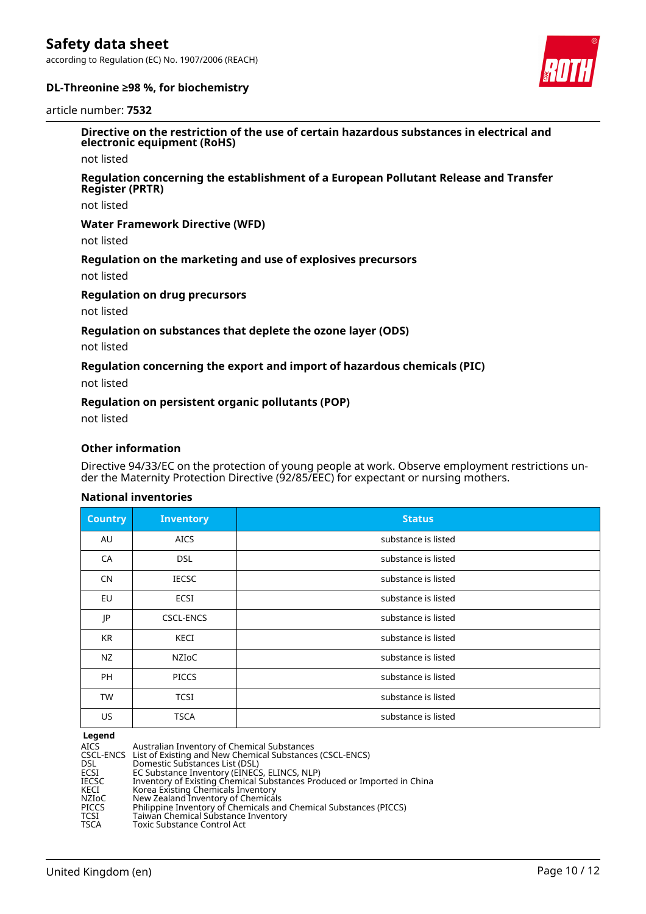according to Regulation (EC) No. 1907/2006 (REACH)





#### article number: **7532**

**Directive on the restriction of the use of certain hazardous substances in electrical and electronic equipment (RoHS)**

not listed

#### **Regulation concerning the establishment of a European Pollutant Release and Transfer Register (PRTR)**

not listed

#### **Water Framework Directive (WFD)**

not listed

### **Regulation on the marketing and use of explosives precursors**

not listed

#### **Regulation on drug precursors**

not listed

### **Regulation on substances that deplete the ozone layer (ODS)**

not listed

### **Regulation concerning the export and import of hazardous chemicals (PIC)**

not listed

### **Regulation on persistent organic pollutants (POP)**

not listed

### **Other information**

Directive 94/33/EC on the protection of young people at work. Observe employment restrictions under the Maternity Protection Directive (92/85/EEC) for expectant or nursing mothers.

### **National inventories**

| <b>Country</b> | <b>Inventory</b> | <b>Status</b>       |
|----------------|------------------|---------------------|
| AU             | <b>AICS</b>      | substance is listed |
| CA             | <b>DSL</b>       | substance is listed |
| <b>CN</b>      | <b>IECSC</b>     | substance is listed |
| EU             | <b>ECSI</b>      | substance is listed |
| JP             | <b>CSCL-ENCS</b> | substance is listed |
| KR             | <b>KECI</b>      | substance is listed |
| NZ             | NZIOC            | substance is listed |
| PH             | <b>PICCS</b>     | substance is listed |
| <b>TW</b>      | <b>TCSI</b>      | substance is listed |
| US             | <b>TSCA</b>      | substance is listed |

#### **Legend**

| AICS  | Australian Inventory of Chemical Substances                             |
|-------|-------------------------------------------------------------------------|
|       | CSCL-ENCS List of Existing and New Chemical Substances (CSCL-ENCS)      |
| DSL   | Domestic Substances List (DSL)                                          |
| ECSI  | EC Substance Inventory (EINECS, ELINCS, NLP)                            |
| IECSC | Inventory of Existing Chemical Substances Produced or Imported in China |
| KECI  | Korea Existing Chemicals Inventory                                      |
| NZIoC | New Zealand Inventory of Chemicals                                      |
| PICCS | Philippine Inventory of Chemicals and Chemical Substances (PICCS)       |
| TCSI  | Taiwan Chemical Substance Inventory                                     |
| TSCA  | <b>Toxic Substance Control Act</b>                                      |
|       |                                                                         |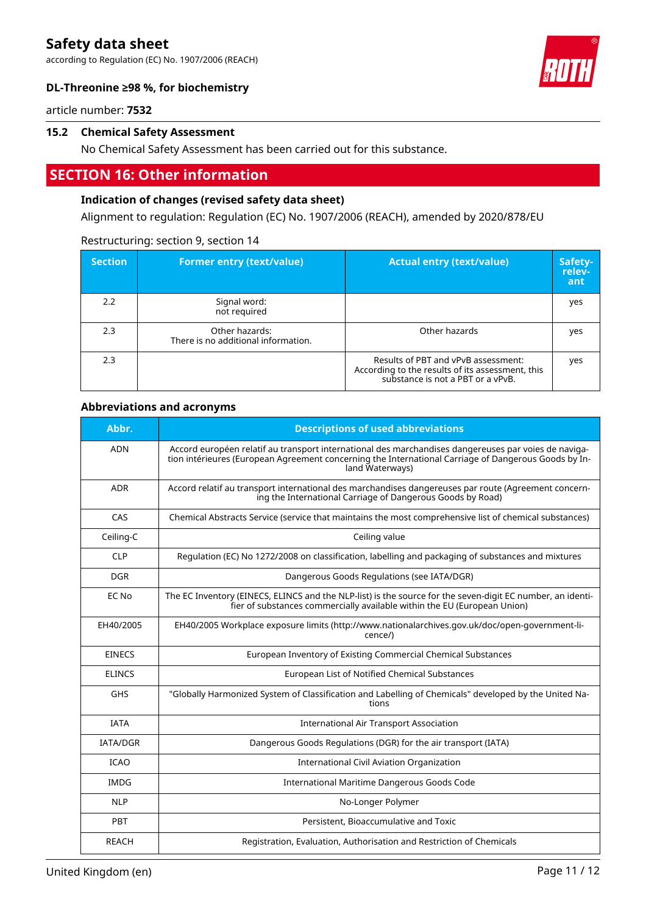according to Regulation (EC) No. 1907/2006 (REACH)



### **DL-Threonine ≥98 %, for biochemistry**

article number: **7532**

### **15.2 Chemical Safety Assessment**

No Chemical Safety Assessment has been carried out for this substance.

# **SECTION 16: Other information**

### **Indication of changes (revised safety data sheet)**

Alignment to regulation: Regulation (EC) No. 1907/2006 (REACH), amended by 2020/878/EU

| <b>Section</b> | <b>Former entry (text/value)</b>                      | <b>Actual entry (text/value)</b>                                                                                             | Safety-<br>relev-<br>ant |
|----------------|-------------------------------------------------------|------------------------------------------------------------------------------------------------------------------------------|--------------------------|
| 2.2            | Signal word:<br>not required                          |                                                                                                                              | yes                      |
| 2.3            | Other hazards:<br>There is no additional information. | Other hazards                                                                                                                | yes                      |
| 2.3            |                                                       | Results of PBT and vPvB assessment:<br>According to the results of its assessment, this<br>substance is not a PBT or a vPvB. | yes                      |

### Restructuring: section 9, section 14

### **Abbreviations and acronyms**

| Abbr.           | <b>Descriptions of used abbreviations</b>                                                                                                                                                                                       |
|-----------------|---------------------------------------------------------------------------------------------------------------------------------------------------------------------------------------------------------------------------------|
| <b>ADN</b>      | Accord européen relatif au transport international des marchandises dangereuses par voies de naviga-<br>tion intérieures (European Agreement concerning the International Carriage of Dangerous Goods by In-<br>land Waterways) |
| <b>ADR</b>      | Accord relatif au transport international des marchandises dangereuses par route (Agreement concern-<br>ing the International Carriage of Dangerous Goods by Road)                                                              |
| CAS             | Chemical Abstracts Service (service that maintains the most comprehensive list of chemical substances)                                                                                                                          |
| Ceiling-C       | Ceiling value                                                                                                                                                                                                                   |
| <b>CLP</b>      | Regulation (EC) No 1272/2008 on classification, labelling and packaging of substances and mixtures                                                                                                                              |
| <b>DGR</b>      | Dangerous Goods Regulations (see IATA/DGR)                                                                                                                                                                                      |
| EC No           | The EC Inventory (EINECS, ELINCS and the NLP-list) is the source for the seven-digit EC number, an identi-<br>fier of substances commercially available within the EU (European Union)                                          |
| EH40/2005       | EH40/2005 Workplace exposure limits (http://www.nationalarchives.gov.uk/doc/open-government-li-<br>cence/)                                                                                                                      |
| <b>EINECS</b>   | European Inventory of Existing Commercial Chemical Substances                                                                                                                                                                   |
| <b>ELINCS</b>   | European List of Notified Chemical Substances                                                                                                                                                                                   |
| <b>GHS</b>      | "Globally Harmonized System of Classification and Labelling of Chemicals" developed by the United Na-<br>tions                                                                                                                  |
| <b>IATA</b>     | <b>International Air Transport Association</b>                                                                                                                                                                                  |
| <b>IATA/DGR</b> | Dangerous Goods Regulations (DGR) for the air transport (IATA)                                                                                                                                                                  |
| <b>ICAO</b>     | <b>International Civil Aviation Organization</b>                                                                                                                                                                                |
| <b>IMDG</b>     | International Maritime Dangerous Goods Code                                                                                                                                                                                     |
| <b>NLP</b>      | No-Longer Polymer                                                                                                                                                                                                               |
| PBT             | Persistent, Bioaccumulative and Toxic                                                                                                                                                                                           |
| <b>REACH</b>    | Registration, Evaluation, Authorisation and Restriction of Chemicals                                                                                                                                                            |